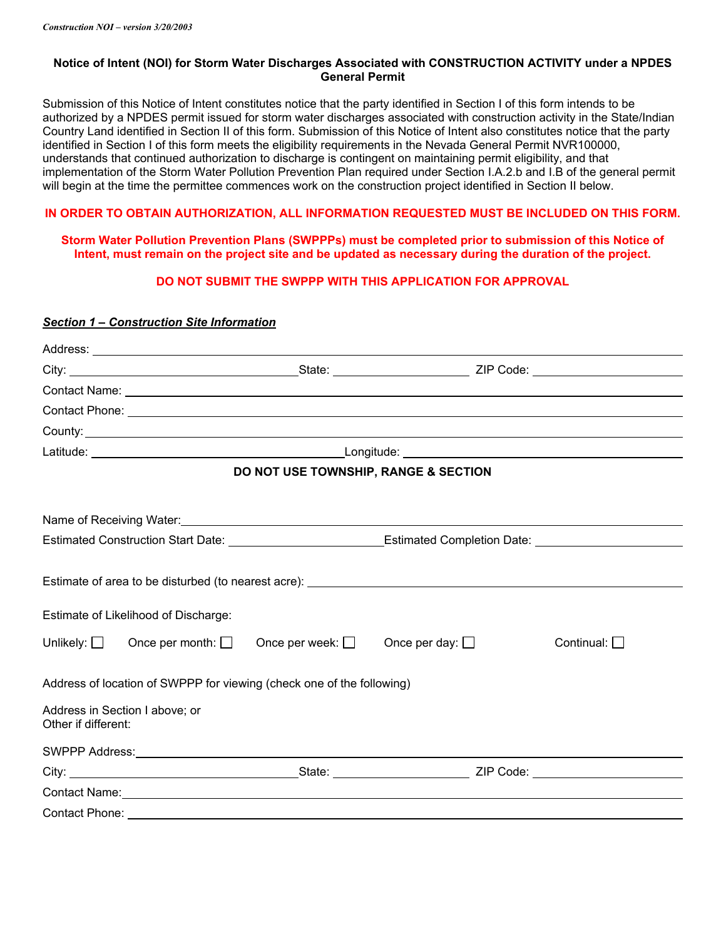# **Notice of Intent (NOI) for Storm Water Discharges Associated with CONSTRUCTION ACTIVITY under a NPDES General Permit**

Submission of this Notice of Intent constitutes notice that the party identified in Section I of this form intends to be authorized by a NPDES permit issued for storm water discharges associated with construction activity in the State/Indian Country Land identified in Section II of this form. Submission of this Notice of Intent also constitutes notice that the party identified in Section I of this form meets the eligibility requirements in the Nevada General Permit NVR100000, understands that continued authorization to discharge is contingent on maintaining permit eligibility, and that implementation of the Storm Water Pollution Prevention Plan required under Section I.A.2.b and I.B of the general permit will begin at the time the permittee commences work on the construction project identified in Section II below.

# **IN ORDER TO OBTAIN AUTHORIZATION, ALL INFORMATION REQUESTED MUST BE INCLUDED ON THIS FORM.**

**Storm Water Pollution Prevention Plans (SWPPPs) must be completed prior to submission of this Notice of Intent, must remain on the project site and be updated as necessary during the duration of the project.** 

# **DO NOT SUBMIT THE SWPPP WITH THIS APPLICATION FOR APPROVAL**

# *Section 1 – Construction Site Information*

|                                                                                                                |                                                                                                                            |                                      |                                                                                   | Contact Phone: <u>Contact Phone:</u> Contact Phone: Contact Phone: Contact Phone: Contact Phone: Contact Phone: Contact Phone: Contact Phone: Contact Phone: Contact Phone: Contact Phone: Contact Phone: Contact Phone: Contact Ph |  |  |
|----------------------------------------------------------------------------------------------------------------|----------------------------------------------------------------------------------------------------------------------------|--------------------------------------|-----------------------------------------------------------------------------------|-------------------------------------------------------------------------------------------------------------------------------------------------------------------------------------------------------------------------------------|--|--|
|                                                                                                                |                                                                                                                            |                                      |                                                                                   |                                                                                                                                                                                                                                     |  |  |
|                                                                                                                |                                                                                                                            |                                      |                                                                                   |                                                                                                                                                                                                                                     |  |  |
|                                                                                                                |                                                                                                                            | DO NOT USE TOWNSHIP, RANGE & SECTION |                                                                                   |                                                                                                                                                                                                                                     |  |  |
|                                                                                                                |                                                                                                                            |                                      |                                                                                   |                                                                                                                                                                                                                                     |  |  |
| Estimated Construction Start Date: ______________________________Estimated Completion Date: __________________ |                                                                                                                            |                                      |                                                                                   |                                                                                                                                                                                                                                     |  |  |
|                                                                                                                | Estimate of Likelihood of Discharge:<br>Unlikely: $\Box$ Once per month: $\Box$ Once per week: $\Box$ Once per day: $\Box$ |                                      | Estimate of area to be disturbed (to nearest acre): _____________________________ | Continual: $\Box$                                                                                                                                                                                                                   |  |  |
| Address of location of SWPPP for viewing (check one of the following)                                          |                                                                                                                            |                                      |                                                                                   |                                                                                                                                                                                                                                     |  |  |
| Other if different:                                                                                            | Address in Section I above; or                                                                                             |                                      |                                                                                   |                                                                                                                                                                                                                                     |  |  |
|                                                                                                                |                                                                                                                            |                                      |                                                                                   |                                                                                                                                                                                                                                     |  |  |
|                                                                                                                |                                                                                                                            |                                      |                                                                                   |                                                                                                                                                                                                                                     |  |  |
|                                                                                                                |                                                                                                                            |                                      |                                                                                   |                                                                                                                                                                                                                                     |  |  |
| Contact Phone:                                                                                                 |                                                                                                                            |                                      |                                                                                   |                                                                                                                                                                                                                                     |  |  |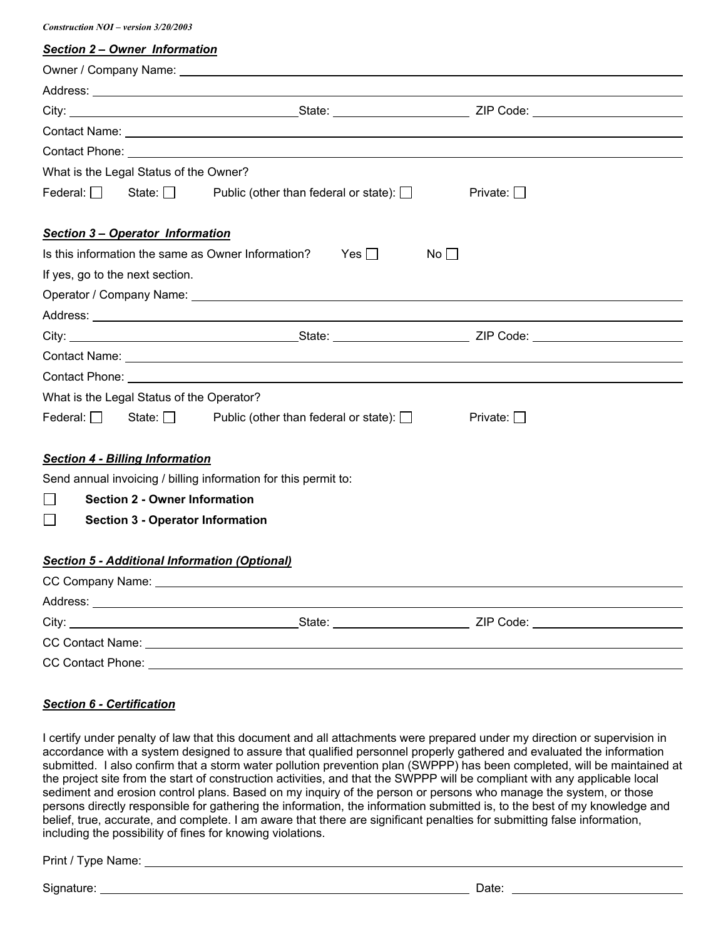*Construction NOI – version 3/20/2003* 

| Construction $NUI - Version$ 3/20/2003                                       |                                           |                                                                                                                                                                                                                               |                 |  |  |  |  |
|------------------------------------------------------------------------------|-------------------------------------------|-------------------------------------------------------------------------------------------------------------------------------------------------------------------------------------------------------------------------------|-----------------|--|--|--|--|
|                                                                              | Section 2 - Owner Information             |                                                                                                                                                                                                                               |                 |  |  |  |  |
|                                                                              |                                           |                                                                                                                                                                                                                               |                 |  |  |  |  |
|                                                                              |                                           |                                                                                                                                                                                                                               |                 |  |  |  |  |
|                                                                              |                                           |                                                                                                                                                                                                                               |                 |  |  |  |  |
|                                                                              |                                           |                                                                                                                                                                                                                               |                 |  |  |  |  |
|                                                                              |                                           |                                                                                                                                                                                                                               |                 |  |  |  |  |
|                                                                              | What is the Legal Status of the Owner?    |                                                                                                                                                                                                                               |                 |  |  |  |  |
|                                                                              |                                           | Federal: $\Box$ State: $\Box$ Public (other than federal or state): $\Box$                                                                                                                                                    | Private: □      |  |  |  |  |
|                                                                              | <b>Section 3 – Operator Information</b>   |                                                                                                                                                                                                                               |                 |  |  |  |  |
| Is this information the same as Owner Information? Yes $\Box$<br>$No$ $\Box$ |                                           |                                                                                                                                                                                                                               |                 |  |  |  |  |
| If yes, go to the next section.                                              |                                           |                                                                                                                                                                                                                               |                 |  |  |  |  |
|                                                                              |                                           |                                                                                                                                                                                                                               |                 |  |  |  |  |
|                                                                              |                                           |                                                                                                                                                                                                                               |                 |  |  |  |  |
|                                                                              |                                           |                                                                                                                                                                                                                               |                 |  |  |  |  |
|                                                                              |                                           |                                                                                                                                                                                                                               |                 |  |  |  |  |
|                                                                              |                                           | Contact Phone: Law and Contact Phone: Law and Contact Phone: Law and Contact Phone: Law and Contact Phone: Law and Contact Phone: Law and Contact Phone: Law and Contact Phone: Law and Contact Phone: Law and Contact Phone: |                 |  |  |  |  |
|                                                                              | What is the Legal Status of the Operator? |                                                                                                                                                                                                                               |                 |  |  |  |  |
|                                                                              |                                           | Federal: State: $\Box$ Public (other than federal or state): $\Box$                                                                                                                                                           | Private: $\Box$ |  |  |  |  |
|                                                                              | <b>Section 4 - Billing Information</b>    |                                                                                                                                                                                                                               |                 |  |  |  |  |
|                                                                              |                                           | Send annual invoicing / billing information for this permit to:                                                                                                                                                               |                 |  |  |  |  |
| <b>Section 2 - Owner Information</b>                                         |                                           |                                                                                                                                                                                                                               |                 |  |  |  |  |
| $\blacksquare$                                                               | <b>Section 3 - Operator Information</b>   |                                                                                                                                                                                                                               |                 |  |  |  |  |
| <b>Section 5 - Additional Information (Optional)</b>                         |                                           |                                                                                                                                                                                                                               |                 |  |  |  |  |
|                                                                              |                                           |                                                                                                                                                                                                                               |                 |  |  |  |  |
|                                                                              |                                           |                                                                                                                                                                                                                               |                 |  |  |  |  |
|                                                                              |                                           |                                                                                                                                                                                                                               |                 |  |  |  |  |
|                                                                              |                                           | CC Contact Name: University of CC Contact Name:                                                                                                                                                                               |                 |  |  |  |  |

# *Section 6 - Certification*

I certify under penalty of law that this document and all attachments were prepared under my direction or supervision in accordance with a system designed to assure that qualified personnel properly gathered and evaluated the information submitted. I also confirm that a storm water pollution prevention plan (SWPPP) has been completed, will be maintained at the project site from the start of construction activities, and that the SWPPP will be compliant with any applicable local sediment and erosion control plans. Based on my inquiry of the person or persons who manage the system, or those persons directly responsible for gathering the information, the information submitted is, to the best of my knowledge and belief, true, accurate, and complete. I am aware that there are significant penalties for submitting false information, including the possibility of fines for knowing violations.

CC Contact Phone:

Print / Type Name:

Signature: Date: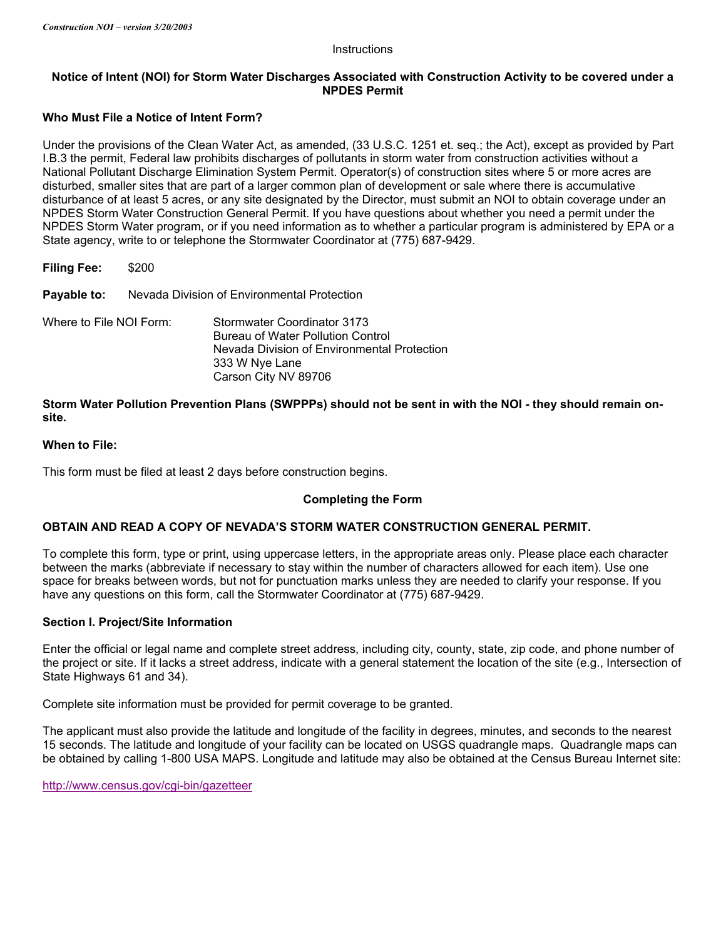### **Instructions**

# **Notice of Intent (NOI) for Storm Water Discharges Associated with Construction Activity to be covered under a NPDES Permit**

# **Who Must File a Notice of Intent Form?**

Under the provisions of the Clean Water Act, as amended, (33 U.S.C. 1251 et. seq.; the Act), except as provided by Part I.B.3 the permit, Federal law prohibits discharges of pollutants in storm water from construction activities without a National Pollutant Discharge Elimination System Permit. Operator(s) of construction sites where 5 or more acres are disturbed, smaller sites that are part of a larger common plan of development or sale where there is accumulative disturbance of at least 5 acres, or any site designated by the Director, must submit an NOI to obtain coverage under an NPDES Storm Water Construction General Permit. If you have questions about whether you need a permit under the NPDES Storm Water program, or if you need information as to whether a particular program is administered by EPA or a State agency, write to or telephone the Stormwater Coordinator at (775) 687-9429.

| <b>Filing Fee:</b>      | \$200                                       |                                                                                                                                                                  |  |
|-------------------------|---------------------------------------------|------------------------------------------------------------------------------------------------------------------------------------------------------------------|--|
| Payable to:             | Nevada Division of Environmental Protection |                                                                                                                                                                  |  |
| Where to File NOI Form: |                                             | Stormwater Coordinator 3173<br><b>Bureau of Water Pollution Control</b><br>Nevada Division of Environmental Protection<br>333 W Nye Lane<br>Carson City NV 89706 |  |

**Storm Water Pollution Prevention Plans (SWPPPs) should not be sent in with the NOI - they should remain onsite.** 

### **When to File:**

This form must be filed at least 2 days before construction begins.

# **Completing the Form**

# **OBTAIN AND READ A COPY OF NEVADA'S STORM WATER CONSTRUCTION GENERAL PERMIT.**

To complete this form, type or print, using uppercase letters, in the appropriate areas only. Please place each character between the marks (abbreviate if necessary to stay within the number of characters allowed for each item). Use one space for breaks between words, but not for punctuation marks unless they are needed to clarify your response. If you have any questions on this form, call the Stormwater Coordinator at (775) 687-9429.

# **Section I. Project/Site Information**

Enter the official or legal name and complete street address, including city, county, state, zip code, and phone number of the project or site. If it lacks a street address, indicate with a general statement the location of the site (e.g., Intersection of State Highways 61 and 34).

Complete site information must be provided for permit coverage to be granted.

The applicant must also provide the latitude and longitude of the facility in degrees, minutes, and seconds to the nearest 15 seconds. The latitude and longitude of your facility can be located on USGS quadrangle maps. Quadrangle maps can be obtained by calling 1-800 USA MAPS. Longitude and latitude may also be obtained at the Census Bureau Internet site:

http://www.census.gov/cgi-bin/gazetteer